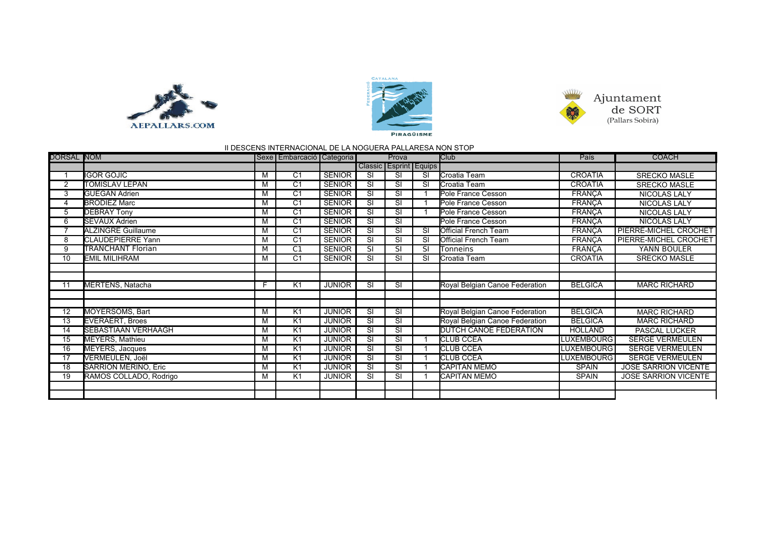





## II DESCENS INTERNACIONAL DE LA NOGUERA PALLARESA NON STOP

| <b>DORSAL NOM</b> |                             |   | Sexe Embarcació Categoria |               | Prova                    |                        |           | <b>Club</b>                    | País              | <b>COACH</b>                |
|-------------------|-----------------------------|---|---------------------------|---------------|--------------------------|------------------------|-----------|--------------------------------|-------------------|-----------------------------|
|                   |                             |   |                           |               |                          | Classic Esprint Equips |           |                                |                   |                             |
|                   | <b>I</b> IGOR GOJIC         | M | $\overline{C1}$           | <b>SENIOR</b> | $\overline{\mathsf{SI}}$ | <b>SI</b>              | SI        | Croatia Team                   | <b>CROATIA</b>    | <b>SRECKO MASLE</b>         |
| 2                 | <b>TOMISLAV LEPAN</b>       | M | $\overline{C1}$           | <b>SENIOR</b> | <b>SI</b>                | SI                     | SI        | Croatia Team                   | <b>CROATIA</b>    | <b>SRECKO MASLE</b>         |
| 3                 | <b>GUEGAN Adrien</b>        | M | C <sub>1</sub>            | <b>SENIOR</b> | SI                       | SI                     |           | Pole France Cesson             | <b>FRANÇA</b>     | <b>NICOLAS LALY</b>         |
| 4                 | <b>BRODIEZ Marc</b>         | M | C <sub>1</sub>            | <b>SENIOR</b> | SI                       | SI                     |           | Pole France Cesson             | <b>FRANCA</b>     | NICOLAS LALY                |
| 5                 | <b>DEBRAY Tony</b>          | M | $\overline{C1}$           | <b>SENIOR</b> | <b>SI</b>                | SI                     |           | Pole France Cesson             | <b>FRANCA</b>     | NICOLAS LALY                |
| 6                 | <b>SEVAUX Adrien</b>        | M | $\overline{C1}$           | <b>SENIOR</b> | $\overline{\mathsf{SI}}$ | <b>SI</b>              |           | Pole France Cesson             | <b>FRANÇA</b>     | NICOLAS LALY                |
|                   | <b>ALZINGRE Guillaume</b>   | M | $\overline{C1}$           | <b>SENIOR</b> | <b>SI</b>                | SI                     | <b>SI</b> | <b>Official French Team</b>    | <b>FRANÇA</b>     | PIERRE-MICHEL CROCHET       |
| 8                 | <b>CLAUDEPIERRE Yann</b>    | M | $\overline{C1}$           | <b>SENIOR</b> | <b>SI</b>                | SI                     | SI        | <b>Official French Team</b>    | <b>FRANÇA</b>     | PIERRE-MICHEL CROCHET       |
| 9                 | <b>TRANCHANT Florian</b>    | М | C1                        | <b>SENIOR</b> | SI                       | SI                     | SI        | Tonneins                       | FRANÇA            | YANN BOULER                 |
| 10                | EMIL MILIHRAM               | M | $\overline{C1}$           | <b>SENIOR</b> | $\overline{\mathsf{SI}}$ | SI                     | SI        | Croatia Team                   | <b>CROATIA</b>    | <b>SRECKO MASLE</b>         |
|                   |                             |   |                           |               |                          |                        |           |                                |                   |                             |
|                   |                             |   |                           |               |                          |                        |           |                                |                   |                             |
| 11                | MERTENS, Natacha            | F | K1                        | <b>JUNIOR</b> | <b>SI</b>                | <b>SI</b>              |           | Royal Belgian Canoe Federation | <b>BELGICA</b>    | <b>MARC RICHARD</b>         |
|                   |                             |   |                           |               |                          |                        |           |                                |                   |                             |
|                   |                             |   |                           |               |                          |                        |           |                                |                   |                             |
| 12                | MOYERSOMS, Bart             | M | K1                        | <b>JUNIOR</b> | <b>SI</b>                | SI                     |           | Royal Belgian Canoe Federation | <b>BELGICA</b>    | <b>MARC RICHARD</b>         |
| 13                | <b>EVERAERT, Broes</b>      | M | K <sub>1</sub>            | <b>JUNIOR</b> | $\overline{\mathsf{SI}}$ | SI                     |           | Royal Belgian Canoe Federation | <b>BELGICA</b>    | <b>MARC RICHARD</b>         |
| 14                | <b>SEBASTIAAN VERHAAGH</b>  | M | K <sub>1</sub>            | <b>JUNIOR</b> | $\overline{\mathsf{SI}}$ | SI                     |           | <b>DUTCH CANOE FEDERATION</b>  | <b>HOLLAND</b>    | PASCAL LUCKER               |
| 15                | MEYERS, Mathieu             | M | K <sub>1</sub>            | <b>JUNIOR</b> | SI                       | SI                     |           | <b>CLUB CCEA</b>               | LUXEMBOURG        | <b>SERGE VERMEULEN</b>      |
| 16                | MEYERS, Jacques             | M | K1                        | <b>JUNIOR</b> | <b>SI</b>                | SI                     |           | <b>CLUB CCEA</b>               | LUXEMBOURG        | <b>SERGE VERMEULEN</b>      |
| 17                | VERMEULEN, Joël             | M | K1                        | <b>JUNIOR</b> | <b>SI</b>                | SI                     |           | <b>CLUB CCEA</b>               | <b>LUXEMBOURG</b> | <b>SERGE VERMEULEN</b>      |
| 18                | <b>SARRION MERINO, Eric</b> | M | K <sub>1</sub>            | <b>JUNIOR</b> | <b>SI</b>                | SI                     |           | <b>CAPITAN MEMO</b>            | <b>SPAIN</b>      | <b>JOSE SARRION VICENTE</b> |
| 19                | RAMOS COLLADO, Rodrigo      | М | K1                        | <b>JUNIOR</b> | <b>SI</b>                | SI                     |           | <b>CAPITAN MEMO</b>            | <b>SPAIN</b>      | <b>JOSE SARRION VICENTE</b> |
|                   |                             |   |                           |               |                          |                        |           |                                |                   |                             |
|                   |                             |   |                           |               |                          |                        |           |                                |                   |                             |